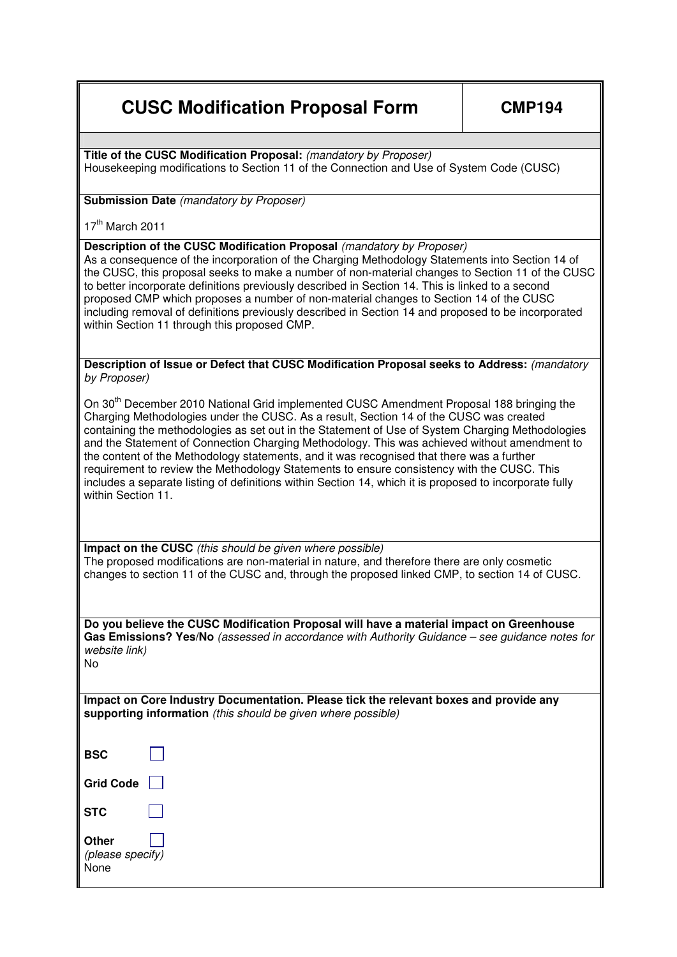## **CUSC Modification Proposal Form | CMP194**

**Title of the CUSC Modification Proposal:** (mandatory by Proposer) Housekeeping modifications to Section 11 of the Connection and Use of System Code (CUSC)

## **Submission Date** (mandatory by Proposer)

 $17<sup>th</sup>$  March 2011

## **Description of the CUSC Modification Proposal (mandatory by Proposer)**

As a consequence of the incorporation of the Charging Methodology Statements into Section 14 of the CUSC, this proposal seeks to make a number of non-material changes to Section 11 of the CUSC to better incorporate definitions previously described in Section 14. This is linked to a second proposed CMP which proposes a number of non-material changes to Section 14 of the CUSC including removal of definitions previously described in Section 14 and proposed to be incorporated within Section 11 through this proposed CMP.

**Description of Issue or Defect that CUSC Modification Proposal seeks to Address:** (mandatory by Proposer)

On 30<sup>th</sup> December 2010 National Grid implemented CUSC Amendment Proposal 188 bringing the Charging Methodologies under the CUSC. As a result, Section 14 of the CUSC was created containing the methodologies as set out in the Statement of Use of System Charging Methodologies and the Statement of Connection Charging Methodology. This was achieved without amendment to the content of the Methodology statements, and it was recognised that there was a further requirement to review the Methodology Statements to ensure consistency with the CUSC. This includes a separate listing of definitions within Section 14, which it is proposed to incorporate fully within Section 11

**Impact on the CUSC** (this should be given where possible) The proposed modifications are non-material in nature, and therefore there are only cosmetic changes to section 11 of the CUSC and, through the proposed linked CMP, to section 14 of CUSC.

**Do you believe the CUSC Modification Proposal will have a material impact on Greenhouse Gas Emissions? Yes/No** (assessed in accordance with Authority Guidance – see guidance notes for website link) No

**Impact on Core Industry Documentation. Please tick the relevant boxes and provide any supporting information** (this should be given where possible)

| BSC                               |  |
|-----------------------------------|--|
| <b>Grid Code</b>                  |  |
| STC                               |  |
| Other<br>(please specify)<br>None |  |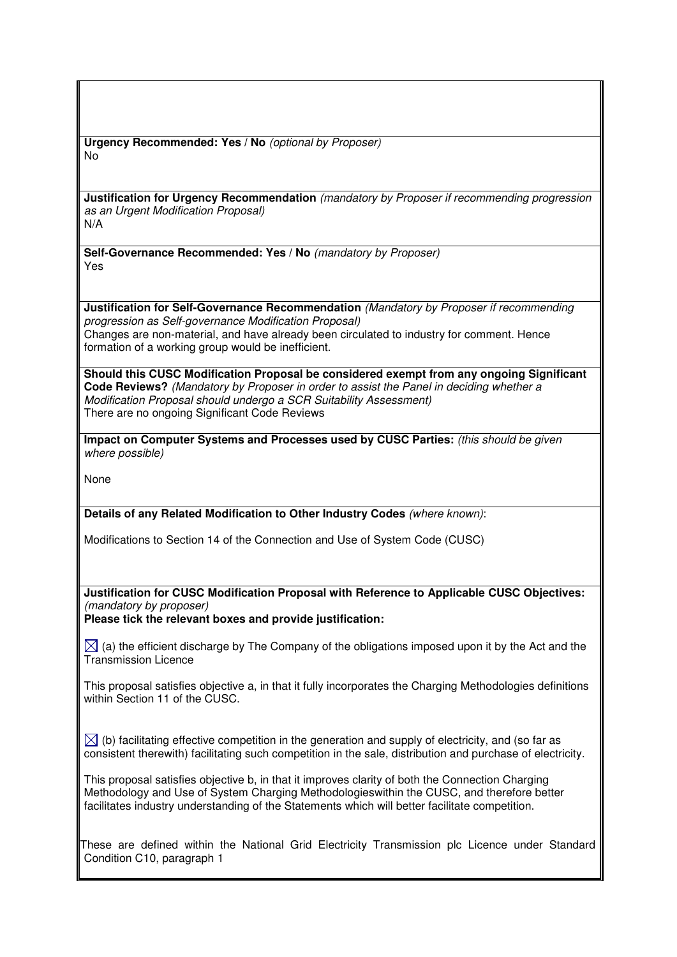**Urgency Recommended: Yes / No** (optional by Proposer) No

**Justification for Urgency Recommendation** (mandatory by Proposer if recommending progression as an Urgent Modification Proposal) N/A

**Self-Governance Recommended: Yes / No** (mandatory by Proposer) Yes

**Justification for Self-Governance Recommendation** (Mandatory by Proposer if recommending progression as Self-governance Modification Proposal) Changes are non-material, and have already been circulated to industry for comment. Hence formation of a working group would be inefficient.

**Should this CUSC Modification Proposal be considered exempt from any ongoing Significant Code Reviews?** (Mandatory by Proposer in order to assist the Panel in deciding whether a Modification Proposal should undergo a SCR Suitability Assessment) There are no ongoing Significant Code Reviews

**Impact on Computer Systems and Processes used by CUSC Parties:** (this should be given where possible)

None

**Details of any Related Modification to Other Industry Codes** (where known):

Modifications to Section 14 of the Connection and Use of System Code (CUSC)

**Justification for CUSC Modification Proposal with Reference to Applicable CUSC Objectives:**  (mandatory by proposer)

**Please tick the relevant boxes and provide justification:** 

 $\boxtimes$  (a) the efficient discharge by The Company of the obligations imposed upon it by the Act and the Transmission Licence

This proposal satisfies objective a, in that it fully incorporates the Charging Methodologies definitions within Section 11 of the CUSC.

 $\boxtimes$  (b) facilitating effective competition in the generation and supply of electricity, and (so far as consistent therewith) facilitating such competition in the sale, distribution and purchase of electricity.

This proposal satisfies objective b, in that it improves clarity of both the Connection Charging Methodology and Use of System Charging Methodologieswithin the CUSC, and therefore better facilitates industry understanding of the Statements which will better facilitate competition.

These are defined within the National Grid Electricity Transmission plc Licence under Standard Condition C10, paragraph 1